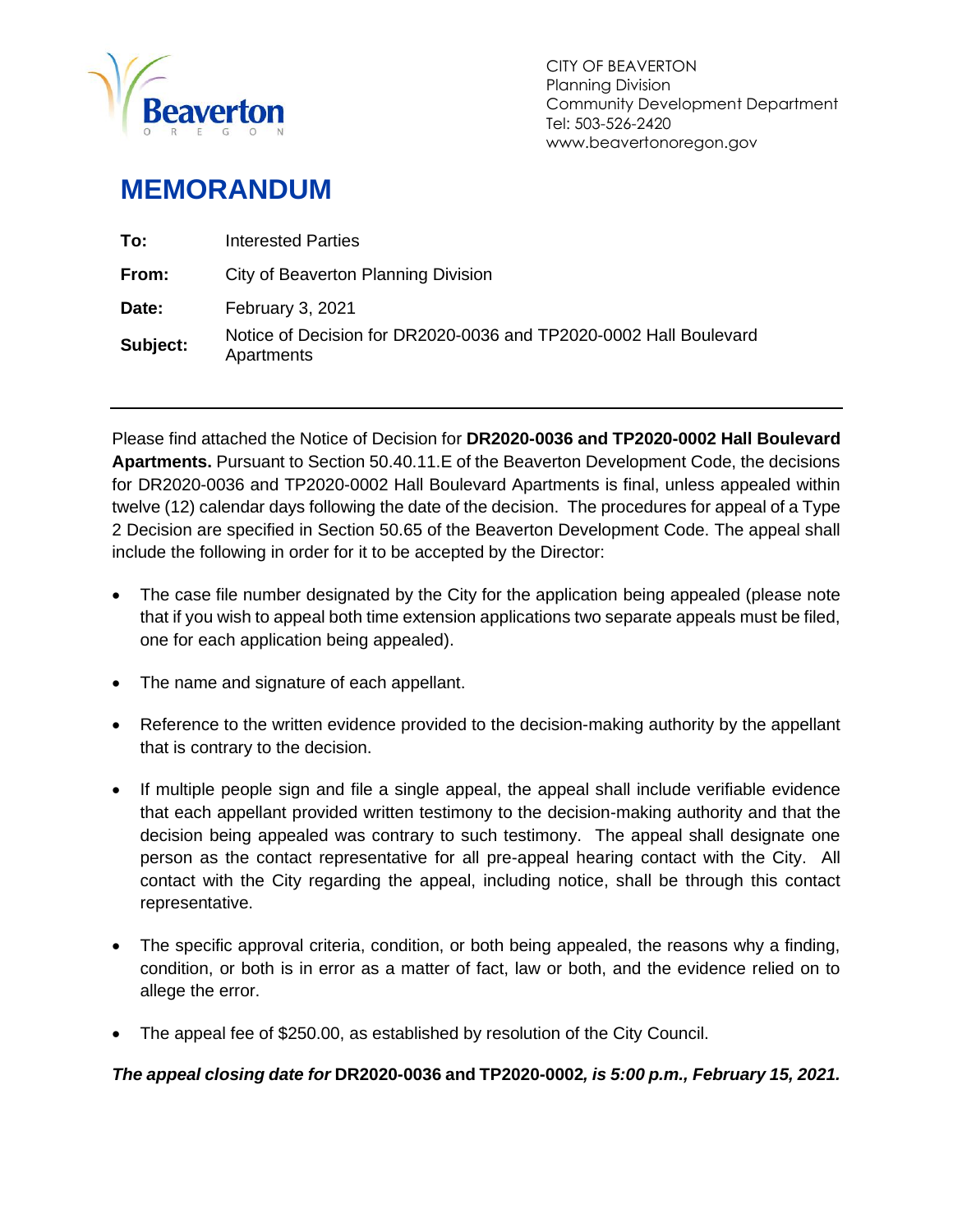

## **MEMORANDUM**

| To:      | Interested Parties                                                              |
|----------|---------------------------------------------------------------------------------|
| From:    | City of Beaverton Planning Division                                             |
| Date:    | February 3, 2021                                                                |
| Subject: | Notice of Decision for DR2020-0036 and TP2020-0002 Hall Boulevard<br>Apartments |

Please find attached the Notice of Decision for **DR2020-0036 and TP2020-0002 Hall Boulevard Apartments.** Pursuant to Section 50.40.11.E of the Beaverton Development Code, the decisions for DR2020-0036 and TP2020-0002 Hall Boulevard Apartments is final, unless appealed within twelve (12) calendar days following the date of the decision. The procedures for appeal of a Type 2 Decision are specified in Section 50.65 of the Beaverton Development Code. The appeal shall include the following in order for it to be accepted by the Director:

- The case file number designated by the City for the application being appealed (please note that if you wish to appeal both time extension applications two separate appeals must be filed, one for each application being appealed).
- The name and signature of each appellant.
- Reference to the written evidence provided to the decision-making authority by the appellant that is contrary to the decision.
- If multiple people sign and file a single appeal, the appeal shall include verifiable evidence that each appellant provided written testimony to the decision-making authority and that the decision being appealed was contrary to such testimony. The appeal shall designate one person as the contact representative for all pre-appeal hearing contact with the City. All contact with the City regarding the appeal, including notice, shall be through this contact representative.
- The specific approval criteria, condition, or both being appealed, the reasons why a finding, condition, or both is in error as a matter of fact, law or both, and the evidence relied on to allege the error.
- The appeal fee of \$250.00, as established by resolution of the City Council.

*The appeal closing date for* **DR2020-0036 and TP2020-0002***, is 5:00 p.m., February 15, 2021.*